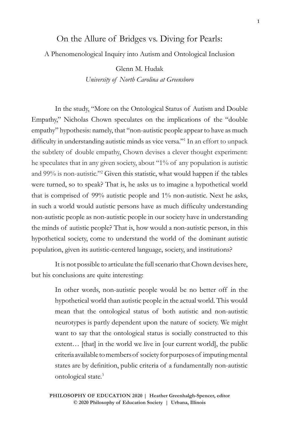## On the Allure of Bridges vs. Diving for Pearls:

## A Phenomenological Inquiry into Autism and Ontological Inclusion

Glenn M. Hudak *University of North Carolina at Greensboro*

In the study, "More on the Ontological Status of Autism and Double Empathy," Nicholas Chown speculates on the implications of the "double empathy" hypothesis: namely, that "non-autistic people appear to have as much difficulty in understanding autistic minds as vice versa."<sup>1</sup> In an effort to unpack the subtlety of double empathy, Chown devises a clever thought experiment: he speculates that in any given society, about "1% of any population is autistic and 99% is non-autistic."2 Given this statistic, what would happen if the tables were turned, so to speak? That is, he asks us to imagine a hypothetical world that is comprised of 99% autistic people and 1% non-autistic. Next he asks, in such a world would autistic persons have as much difficulty understanding non-autistic people as non-autistic people in our society have in understanding the minds of autistic people? That is, how would a non-autistic person, in this hypothetical society, come to understand the world of the dominant autistic population, given its autistic-centered language, society, and institutions?

It is not possible to articulate the full scenario that Chown devises here, but his conclusions are quite interesting:

> In other words, non-autistic people would be no better off in the hypothetical world than autistic people in the actual world. This would mean that the ontological status of both autistic and non-autistic neurotypes is partly dependent upon the nature of society. We might want to say that the ontological status is socially constructed to this extent... [that] in the world we live in [our current world], the public criteria available to members of society for purposes of imputing mental states are by definition, public criteria of a fundamentally non-autistic ontological state.3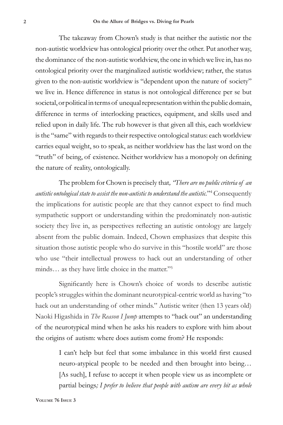The takeaway from Chown's study is that neither the autistic nor the non-autistic worldview has ontological priority over the other. Put another way, the dominance of the non-autistic worldview, the one in which we live in, has no ontological priority over the marginalized autistic worldview; rather, the status given to the non-autistic worldview is "dependent upon the nature of society" we live in. Hence difference in status is not ontological difference per se but societal, or political in terms of unequal representation within the public domain, difference in terms of interlocking practices, equipment, and skills used and relied upon in daily life. The rub however is that given all this, each worldview is the "same" with regards to their respective ontological status: each worldview carries equal weight, so to speak, as neither worldview has the last word on the "truth" of being, of existence. Neither worldview has a monopoly on defining the nature of reality, ontologically.

The problem for Chown is precisely that*, "There are no public criteria of an autistic ontological state to assist the non-autistic to understand the autistic.*"4 Consequently the implications for autistic people are that they cannot expect to find much sympathetic support or understanding within the predominately non-autistic society they live in, as perspectives reflecting an autistic ontology are largely absent from the public domain. Indeed, Chown emphasizes that despite this situation those autistic people who do survive in this "hostile world" are those who use "their intellectual prowess to hack out an understanding of other minds... as they have little choice in the matter."<sup>5</sup>

Significantly here is Chown's choice of words to describe autistic people's struggles within the dominant neurotypical-centric world as having "to hack out an understanding of other minds." Autistic writer (then 13 years old) Naoki Higashida in *The Reason I Jump* attempts to "hack out" an understanding of the neurotypical mind when he asks his readers to explore with him about the origins of autism: where does autism come from? He responds:

> I can't help but feel that some imbalance in this world first caused neuro-atypical people to be needed and then brought into being… [As such], I refuse to accept it when people view us as incomplete or partial beings*; I prefer to believe that people with autism are every bit as whole*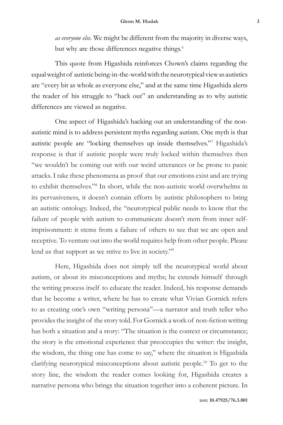*as everyone else.* We might be different from the majority in diverse ways, but why are those differences negative things.<sup>6</sup>

This quote from Higashida reinforces Chown's claims regarding the equal weight of autistic being-in-the-world with the neurotypical view as autistics are "every bit as whole as everyone else," and at the same time Higashida alerts the reader of his struggle to "hack out" an understanding as to why autistic differences are viewed as negative.

One aspect of Higashida's hacking out an understanding of the nonautistic mind is to address persistent myths regarding autism. One myth is that autistic people are "locking themselves up inside themselves."7 Higashida's response is that if autistic people were truly locked within themselves then "we wouldn't be coming out with our weird utterances or be prone to panic attacks. I take these phenomena as proof that our emotions exist and are trying to exhibit themselves."8 In short, while the non-autistic world overwhelms in its pervasiveness, it doesn't contain efforts by autistic philosophers to bring an autistic ontology. Indeed, the "neurotypical public needs to know that the failure of people with autism to communicate doesn't stem from inner selfimprisonment: it stems from a failure of others to see that we are open and receptive. To venture out into the world requires help from other people. Please lend us that support as we strive to live in society."9

Here, Higashida does not simply tell the neurotypical world about autism, or about its misconceptions and myths; he extends himself through the writing process itself to educate the reader. Indeed, his response demands that he become a writer, where he has to create what Vivian Gornick refers to as creating one's own "writing persona"—a narrator and truth teller who provides the insight of the story told. For Gornick a work of non-fiction writing has both a situation and a story: "The situation is the context or circumstance; the story is the emotional experience that preoccupies the writer: the insight, the wisdom, the thing one has come to say," where the situation is Higashida clarifying neurotypical misconceptions about autistic people.10 To get to the story line, the wisdom the reader comes looking for, Higashida creates a narrative persona who brings the situation together into a coherent picture. In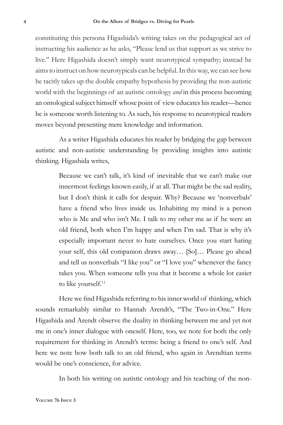constituting this persona Higashida's writing takes on the pedagogical act of instructing his audience as he asks, "Please lend us that support as we strive to live." Here Higashida doesn't simply want neurotypical sympathy; instead he aims to instruct on how neurotypicals can be helpful. In this way, we can see how he tacitly takes up the double empathy hypothesis by providing the non-autistic world with the beginnings of an autistic ontology *and* in this process becoming an ontological subject himself whose point of view educates his reader—hence he is someone worth listening to. As such, his response to neurotypical readers moves beyond presenting mere knowledge and information.

As a writer Higashida educates his reader by bridging the gap between autistic and non-autistic understanding by providing insights into autistic thinking. Higashida writes,

> Because we can't talk, it's kind of inevitable that we can't make our innermost feelings known easily, if at all. That might be the sad reality, but I don't think it calls for despair. Why? Because we 'nonverbals' have a friend who lives inside us. Inhabiting my mind is a person who is Me and who isn't Me. I talk to my other me as if he were an old friend, both when I'm happy and when I'm sad. That is why it's especially important never to hate ourselves. Once you start hating your self, this old companion draws away… [So]… Please go ahead and tell us nonverbals "I like you" or "I love you" whenever the fancy takes you. When someone tells you that it become a whole lot easier to like yourself.<sup>11</sup>

Here we find Higashida referring to his inner world of thinking, which sounds remarkably similar to Hannah Arendt's, "The Two-in-One." Here Higashida and Arendt observe the duality in thinking between me and yet not me in one's inner dialogue with oneself. Here, too, we note for both the only requirement for thinking in Arendt's terms: being a friend to one's self. And here we note how both talk to an old friend, who again in Arendtian terms would be one's conscience, for advice.

In both his writing on autistic ontology and his teaching of the non-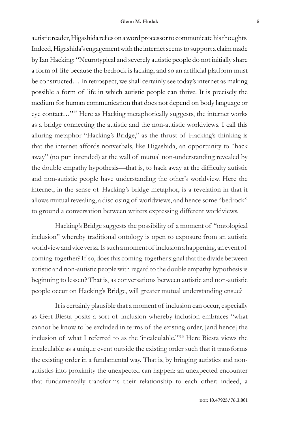autistic reader, Higashida relies on a word processor to communicate his thoughts. Indeed, Higashida's engagement with the internet seems to support a claim made by Ian Hacking: "Neurotypical and severely autistic people do not initially share a form of life because the bedrock is lacking, and so an artificial platform must be constructed… In retrospect, we shall certainly see today's internet as making possible a form of life in which autistic people can thrive. It is precisely the medium for human communication that does not depend on body language or eye contact…"12 Here as Hacking metaphorically suggests, the internet works as a bridge connecting the autistic and the non-autistic worldviews. I call this alluring metaphor "Hacking's Bridge," as the thrust of Hacking's thinking is that the internet affords nonverbals, like Higashida, an opportunity to "hack away" (no pun intended) at the wall of mutual non-understanding revealed by the double empathy hypothesis—that is, to hack away at the difficulty autistic and non-autistic people have understanding the other's worldview. Here the internet, in the sense of Hacking's bridge metaphor, is a revelation in that it allows mutual revealing, a disclosing of worldviews, and hence some "bedrock" to ground a conversation between writers expressing different worldviews.

Hacking's Bridge suggests the possibility of a moment of "ontological inclusion" whereby traditional ontology is open to exposure from an autistic worldview and vice versa. Is such a moment of inclusion a happening, an event of coming-together? If so, does this coming-together signal that the divide between autistic and non-autistic people with regard to the double empathy hypothesis is beginning to lessen? That is, as conversations between autistic and non-autistic people occur on Hacking's Bridge, will greater mutual understanding ensue?

It is certainly plausible that a moment of inclusion can occur, especially as Gert Biesta posits a sort of inclusion whereby inclusion embraces "what cannot be know to be excluded in terms of the existing order, [and hence] the inclusion of what I referred to as the 'incalculable.'"13 Here Biesta views the incalculable as a unique event outside the existing order such that it transforms the existing order in a fundamental way. That is, by bringing autistics and nonautistics into proximity the unexpected can happen: an unexpected encounter that fundamentally transforms their relationship to each other: indeed, a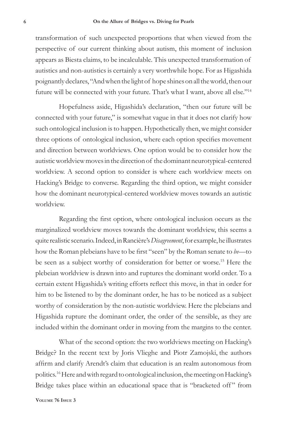transformation of such unexpected proportions that when viewed from the perspective of our current thinking about autism, this moment of inclusion appears as Biesta claims, to be incalculable. This unexpected transformation of autistics and non-autistics is certainly a very worthwhile hope. For as Higashida poignantly declares, "And when the light of hope shines on all the world, then our future will be connected with your future. That's what I want, above all else."14

Hopefulness aside, Higashida's declaration, "then our future will be connected with your future," is somewhat vague in that it does not clarify how such ontological inclusion is to happen. Hypothetically then, we might consider three options of ontological inclusion, where each option specifies movement and direction between worldviews. One option would be to consider how the autistic worldview moves in the direction of the dominant neurotypical-centered worldview. A second option to consider is where each worldview meets on Hacking's Bridge to converse. Regarding the third option, we might consider how the dominant neurotypical-centered worldview moves towards an autistic worldview.

Regarding the first option, where ontological inclusion occurs as the marginalized worldview moves towards the dominant worldview, this seems a quite realistic scenario. Indeed, in Rancière's *Disagreement*, for example, he illustrates how the Roman plebeians have to be first "seen" by the Roman senate to *be*—to be seen as a subject worthy of consideration for better or worse.15 Here the plebeian worldview is drawn into and ruptures the dominant world order. To a certain extent Higashida's writing efforts reflect this move, in that in order for him to be listened to by the dominant order, he has to be noticed as a subject worthy of consideration by the non-autistic worldview. Here the plebeians and Higashida rupture the dominant order, the order of the sensible, as they are included within the dominant order in moving from the margins to the center.

What of the second option: the two worldviews meeting on Hacking's Bridge? In the recent text by Joris Vlieghe and Piotr Zamojski, the authors affirm and clarify Arendt's claim that education is an realm autonomous from politics.16 Here and with regard to ontological inclusion, the meeting on Hacking's Bridge takes place within an educational space that is "bracketed off" from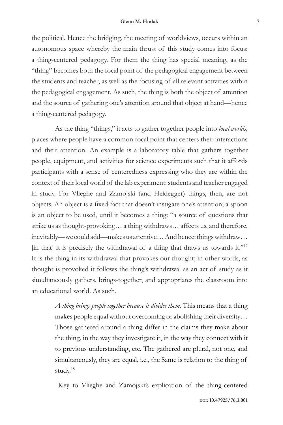the political. Hence the bridging, the meeting of worldviews, occurs within an autonomous space whereby the main thrust of this study comes into focus: a thing-centered pedagogy. For them the thing has special meaning, as the "thing" becomes both the focal point of the pedagogical engagement between the students and teacher, as well as the focusing of all relevant activities within the pedagogical engagement. As such, the thing is both the object of attention and the source of gathering one's attention around that object at hand—hence a thing-centered pedagogy.

As the thing "things," it acts to gather together people into *local worlds*, places where people have a common focal point that centers their interactions and their attention. An example is a laboratory table that gathers together people, equipment, and activities for science experiments such that it affords participants with a sense of centeredness expressing who they are within the context of their local world of the lab experiment: students and teacher engaged in study. For Vlieghe and Zamojski (and Heidegger) things, then, are not objects. An object is a fixed fact that doesn't instigate one's attention; a spoon is an object to be used, until it becomes a thing: "a source of questions that strike us as thought-provoking… a thing withdraws… affects us, and therefore, inevitably—we could add—makes us attentive… And hence: things withdraw… [in that] it is precisely the withdrawal of a thing that draws us towards it."<sup>17</sup> It is the thing in its withdrawal that provokes our thought; in other words, as thought is provoked it follows the thing's withdrawal as an act of study as it simultaneously gathers, brings-together, and appropriates the classroom into an educational world. As such,

> *A thing brings people together because it divides them*. This means that a thing makes people equal without overcoming or abolishing their diversity… Those gathered around a thing differ in the claims they make about the thing, in the way they investigate it, in the way they connect with it to previous understanding, etc. The gathered are plural, not one, and simultaneously, they are equal, i.e., the Same is relation to the thing of study.18

Key to Vlieghe and Zamojski's explication of the thing-centered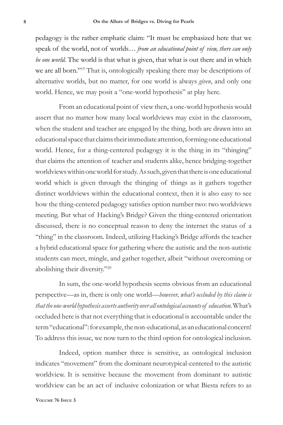pedagogy is the rather emphatic claim: "It must be emphasized here that we speak of the world, not of worlds… *from an educational point of view, there can only be one world.* The world is that what is given, that what is out there and in which we are all born."19 That is, ontologically speaking there may be descriptions of alternative worlds, but no matter, for one world is always *given*, and only one world. Hence, we may posit a "one-world hypothesis" at play here.

From an educational point of view then, a one-world hypothesis would assert that no matter how many local worldviews may exist in the classroom, when the student and teacher are engaged by the thing, both are drawn into an educational space that claims their immediate attention, forming one educational world. Hence, for a thing-centered pedagogy it is the thing in its "thinging" that claims the attention of teacher and students alike, hence bridging-together worldviews within one world for study. As such, given that there is one educational world which is given through the thinging of things as it gathers together distinct worldviews within the educational context, then it is also easy to see how the thing-centered pedagogy satisfies option number two: two worldviews meeting. But what of Hacking's Bridge? Given the thing-centered orientation discussed, there is no conceptual reason to deny the internet the status of a "thing" in the classroom. Indeed, utilizing Hacking's Bridge affords the teacher a hybrid educational space for gathering where the autistic and the non-autistic students can meet, mingle, and gather together, albeit "without overcoming or abolishing their diversity."20

In sum, the one-world hypothesis seems obvious from an educational perspective—as in, there is only one world—*however, what's occluded by this claim is that the one-world hypothesis asserts authority over all ontological accounts of education*. What's occluded here is that not everything that is educational is accountable under the term "educational": for example, the non-educational, as an educational concern! To address this issue, we now turn to the third option for ontological inclusion.

Indeed, option number three is sensitive, as ontological inclusion indicates "movement" from the dominant neurotypical-centered to the autistic worldview. It is sensitive because the movement from dominant to autistic worldview can be an act of inclusive colonization or what Biesta refers to as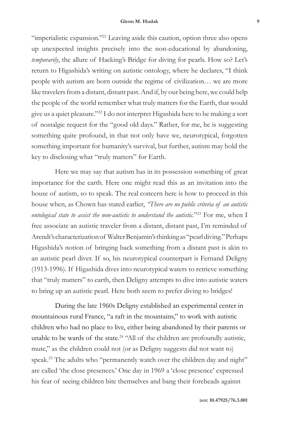"imperialistic expansion."<sup>21</sup> Leaving aside this caution, option three also opens up unexpected insights precisely into the non-educational by abandoning, *temporarily*, the allure of Hacking's Bridge for diving for pearls. How so? Let's return to Higashida's writing on autistic ontology, where he declares, "I think people with autism are born outside the regime of civilization… we are more like travelers from a distant, distant past. And if, by our being here, we could help the people of the world remember what truly matters for the Earth, that would give us a quiet pleasure."22 I do not interpret Higashida here to be making a sort of nostalgic request for the "good old days." Rather, for me, he is suggesting something quite profound, in that not only have we, neurotypical, forgotten something important for humanity's survival, but further, autism may hold the key to disclosing what "truly matters" for Earth.

Here we may say that autism has in its possession something of great importance for the earth. Here one might read this as an invitation into the house of autism, so to speak. The real concern here is how to proceed in this house when, as Chown has stated earlier, *"There are no public criteria of an autistic ontological state to assist the non-autistic to understand the autistic.*"23 For me, when I free associate an autistic traveler from a distant, distant past, I'm reminded of Arendt's characterization of Walter Benjamin's thinking as "pearl diving." Perhaps Higashida's notion of bringing back something from a distant past is akin to an autistic pearl diver. If so, his neurotypical counterpart is Fernand Deligny (1913-1996). If Higashida dives into neurotypical waters to retrieve something that "truly matters" to earth, then Deligny attempts to dive into autistic waters to bring up an autistic pearl. Here both seem to prefer diving to bridges!

During the late 1960s Deligny established an experimental center in mountainous rural France, "a raft in the mountains," to work with autistic children who had no place to live, either being abandoned by their parents or unable to be wards of the state.<sup>24</sup> "All of the children are profoundly autistic, mute," as the children could not (or as Deligny suggests did not want to) speak.<sup>25</sup> The adults who "permanently watch over the children day and night" are called 'the close presences.' One day in 1969 a 'close presence' expressed his fear of seeing children bite themselves and bang their foreheads against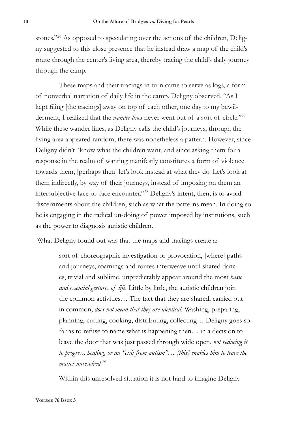stones."<sup>26</sup> As opposed to speculating over the actions of the children, Deligny suggested to this close presence that he instead draw a map of the child's route through the center's living area, thereby tracing the child's daily journey through the camp.

These maps and their tracings in turn came to serve as logs, a form of nonverbal narration of daily life in the camp. Deligny observed, "As I kept filing [the tracings] away on top of each other, one day to my bewilderment, I realized that the *wander lines* never went out of a sort of circle."<sup>27</sup> While these wander lines, as Deligny calls the child's journeys, through the living area appeared random, there was nonetheless a pattern. However, since Deligny didn't "know what the children want, and since asking them for a response in the realm of wanting manifestly constitutes a form of violence towards them, [perhaps then] let's look instead at what they do. Let's look at them indirectly, by way of their journeys, instead of imposing on them an intersubjective face-to-face encounter."28 Deligny's intent, then, is to avoid discernments about the children, such as what the patterns mean. In doing so he is engaging in the radical un-doing of power imposed by institutions, such as the power to diagnosis autistic children.

What Deligny found out was that the maps and tracings create a:

sort of choreographic investigation or provocation, [where] paths and journeys, roamings and routes interweave until shared dances, trivial and sublime, unpredictably appear around the most *basic and essential gestures of life.* Little by little, the autistic children join the common activities… The fact that they are shared, carried out in common, *does not mean that they are identical.* Washing, preparing, planning, cutting, cooking, distributing, collecting… Deligny goes so far as to refuse to name what is happening then… in a decision to leave the door that was just passed through wide open, *not reducing it to progress, healing, or an "exit from autism"… [this] enables him to leave the matter unresolved.29*

Within this unresolved situation it is not hard to imagine Deligny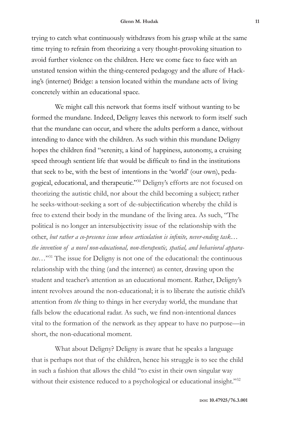trying to catch what continuously withdraws from his grasp while at the same time trying to refrain from theorizing a very thought-provoking situation to avoid further violence on the children. Here we come face to face with an unstated tension within the thing-centered pedagogy and the allure of Hacking's (internet) Bridge: a tension located within the mundane acts of living concretely within an educational space.

We might call this network that forms itself without wanting to be formed the mundane. Indeed, Deligny leaves this network to form itself such that the mundane can occur, and where the adults perform a dance, without intending to dance with the children. As such within this mundane Deligny hopes the children find "serenity, a kind of happiness, autonomy, a cruising speed through sentient life that would be difficult to find in the institutions that seek to be, with the best of intentions in the 'world' (our own), pedagogical, educational, and therapeutic."30 Deligny's efforts are not focused on theorizing the autistic child, nor about the child becoming a subject; rather he seeks-without-seeking a sort of de-subjectification whereby the child is free to extend their body in the mundane of the living area. As such, "The political is no longer an intersubjectivity issue of the relationship with the other, *but rather a co-presence issue whose articulation is infinite, never-ending task… the invention of a novel non-educational, non-therapeutic, spatial, and behavioral apparatus*…"31 The issue for Deligny is not one of the educational: the continuous relationship with the thing (and the internet) as center, drawing upon the student and teacher's attention as an educational moment. Rather, Deligny's intent revolves around the non-educational; it is to liberate the autistic child's attention from *the* thing to things in her everyday world, the mundane that falls below the educational radar. As such, we find non-intentional dances vital to the formation of the network as they appear to have no purpose—in short, the non-educational moment.

What about Deligny? Deligny is aware that he speaks a language that is perhaps not that of the children, hence his struggle is to see the child in such a fashion that allows the child "to exist in their own singular way without their existence reduced to a psychological or educational insight."32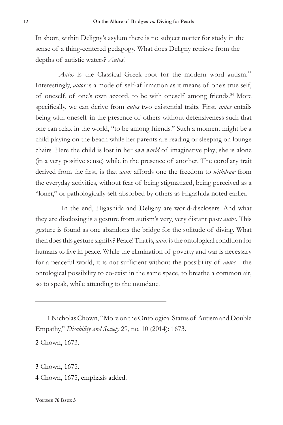In short, within Deligny's asylum there is no subject matter for study in the sense of a thing-centered pedagogy. What does Deligny retrieve from the depths of autistic waters? *Autos*!

*Autos* is the Classical Greek root for the modern word autism.<sup>33</sup> Interestingly, *autos* is a mode of self-affirmation as it means of one's true self, of oneself, of one's own accord, to be with oneself among friends.<sup>34</sup> More specifically, we can derive from *autos* two existential traits. First, *autos* entails being with oneself in the presence of others without defensiveness such that one can relax in the world, "to be among friends." Such a moment might be a child playing on the beach while her parents are reading or sleeping on lounge chairs. Here the child is lost in her *own world* of imaginative play; she is alone (in a very positive sense) while in the presence of another. The corollary trait derived from the first, is that *autos* affords one the freedom to *withdraw* from the everyday activities, without fear of being stigmatized, being perceived as a "loner," or pathologically self-absorbed by others as Higashida noted earlier.

 In the end, Higashida and Deligny are world-disclosers. And what they are disclosing is a gesture from autism's very, very distant past*: autos*. This gesture is found as one abandons the bridge for the solitude of diving. What then does this gesture signify? Peace! That is, *autos* is the ontological condition for humans to live in peace. While the elimination of poverty and war is necessary for a peaceful world, it is not sufficient without the possibility of *autos*—the ontological possibility to co-exist in the same space, to breathe a common air, so to speak, while attending to the mundane.

1 Nicholas Chown, "More on the Ontological Status of Autism and Double Empathy," *Disability and Society* 29, no. 10 (2014): 1673.

2 Chown, 1673.

3 Chown, 1675. 4 Chown, 1675, emphasis added.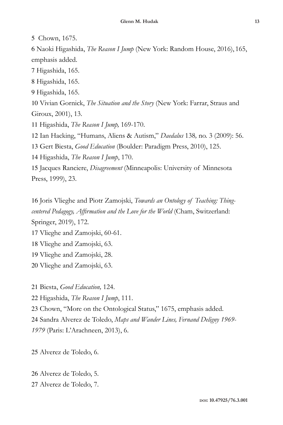Chown, 1675.

 Naoki Higashida, *The Reason I Jump* (New York: Random House, 2016), 165, emphasis added.

Higashida, 165.

Higashida, 165.

Higashida, 165.

 Vivian Gornick, *The Situation and the Story* (New York: Farrar, Straus and Giroux, 2001), 13.

Higashida, *The Reason I Jump,* 169-170.

Ian Hacking, "Humans, Aliens & Autism," *Daedalus* 138*,* no. 3 (2009): 56.

Gert Biesta, *Good Education* (Boulder: Paradigm Press, 2010), 125.

Higashida, *The Reason I Jump*, 170.

 Jacques Ranciere, *Disagreement* (Minneapolis: University of Minnesota Press, 1999), 23.

 Joris Vlieghe and Piotr Zamojski, *Towards an Ontology of Teaching: Thingcentered Pedagogy, Affirmation and the Love for the World* (Cham, Switzerland: Springer, 2019), 172.

Vlieghe and Zamojski, 60-61.

Vlieghe and Zamojski, 63.

Vlieghe and Zamojski, 28.

Vlieghe and Zamojski, 63.

Biesta, *Good Education,* 124.

Higashida, *The Reason I Jump*, 111.

Chown, "More on the Ontological Status," 1675, emphasis added.

Sandra Alverez de Toledo, *Maps and Wander Lines, Fernand Deligny 1969-*

(Paris: L'Arachneen, 2013), 6.

Alverez de Toledo, 6.

 Alverez de Toledo, 5. Alverez de Toledo, 7.